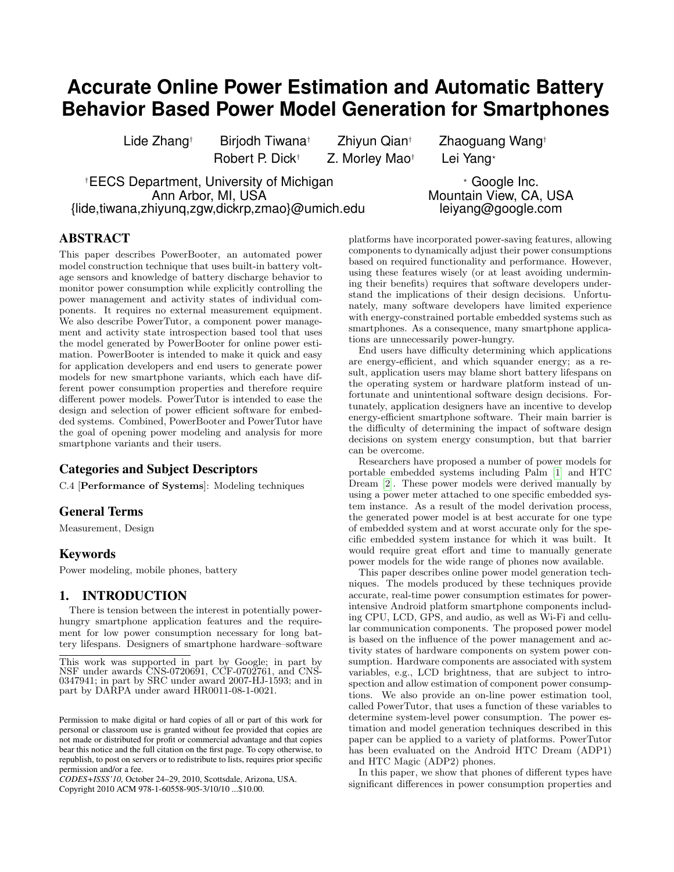# **Accurate Online Power Estimation and Automatic Battery Behavior Based Power Model Generation for Smartphones**

Robert P. Dick<sup>†</sup> Z. Morley Mao<sup>†</sup> Lei Yang<sup>\*</sup>

Lide Zhang† Birjodh Tiwana† Zhiyun Qian† Zhaoguang Wang†

†EECS Department, University of Michigan Ann Arbor, MI, USA {lide,tiwana,zhiyunq,zgw,dickrp,zmao}@umich.edu

<sup>⋆</sup> Google Inc. Mountain View, CA, USA leiyang@google.com

# ABSTRACT

This paper describes PowerBooter, an automated power model construction technique that uses built-in battery voltage sensors and knowledge of battery discharge behavior to monitor power consumption while explicitly controlling the power management and activity states of individual components. It requires no external measurement equipment. We also describe PowerTutor, a component power management and activity state introspection based tool that uses the model generated by PowerBooter for online power estimation. PowerBooter is intended to make it quick and easy for application developers and end users to generate power models for new smartphone variants, which each have different power consumption properties and therefore require different power models. PowerTutor is intended to ease the design and selection of power efficient software for embedded systems. Combined, PowerBooter and PowerTutor have the goal of opening power modeling and analysis for more smartphone variants and their users.

# Categories and Subject Descriptors

C.4 [Performance of Systems]: Modeling techniques

# General Terms

Measurement, Design

### Keywords

Power modeling, mobile phones, battery

# 1. INTRODUCTION

There is tension between the interest in potentially powerhungry smartphone application features and the requirement for low power consumption necessary for long battery lifespans. Designers of smartphone hardware–software

*CODES+ISSS'10,* October 24–29, 2010, Scottsdale, Arizona, USA. Copyright 2010 ACM 978-1-60558-905-3/10/10 ...\$10.00.

platforms have incorporated power-saving features, allowing components to dynamically adjust their power consumptions based on required functionality and performance. However, using these features wisely (or at least avoiding undermining their benefits) requires that software developers understand the implications of their design decisions. Unfortunately, many software developers have limited experience with energy-constrained portable embedded systems such as smartphones. As a consequence, many smartphone applications are unnecessarily power-hungry.

End users have difficulty determining which applications are energy-efficient, and which squander energy; as a result, application users may blame short battery lifespans on the operating system or hardware platform instead of unfortunate and unintentional software design decisions. Fortunately, application designers have an incentive to develop energy-efficient smartphone software. Their main barrier is the difficulty of determining the impact of software design decisions on system energy consumption, but that barrier can be overcome.

Researchers have proposed a number of power models for portable embedded systems including Palm [\[1\]](#page-9-0) and HTC Dream [\[2\]](#page-9-1). These power models were derived manually by using a power meter attached to one specific embedded system instance. As a result of the model derivation process, the generated power model is at best accurate for one type of embedded system and at worst accurate only for the specific embedded system instance for which it was built. It would require great effort and time to manually generate power models for the wide range of phones now available.

This paper describes online power model generation techniques. The models produced by these techniques provide accurate, real-time power consumption estimates for powerintensive Android platform smartphone components including CPU, LCD, GPS, and audio, as well as Wi-Fi and cellular communication components. The proposed power model is based on the influence of the power management and activity states of hardware components on system power consumption. Hardware components are associated with system variables, e.g., LCD brightness, that are subject to introspection and allow estimation of component power consumptions. We also provide an on-line power estimation tool, called PowerTutor, that uses a function of these variables to determine system-level power consumption. The power estimation and model generation techniques described in this paper can be applied to a variety of platforms. PowerTutor has been evaluated on the Android HTC Dream (ADP1) and HTC Magic (ADP2) phones.

In this paper, we show that phones of different types have significant differences in power consumption properties and

This work was supported in part by Google; in part by NSF under awards CNS-0720691, CCF-0702761, and CNS-0347941; in part by SRC under award 2007-HJ-1593; and in part by DARPA under award HR0011-08-1-0021.

Permission to make digital or hard copies of all or part of this work for personal or classroom use is granted without fee provided that copies are not made or distributed for profit or commercial advantage and that copies bear this notice and the full citation on the first page. To copy otherwise, to republish, to post on servers or to redistribute to lists, requires prior specific permission and/or a fee.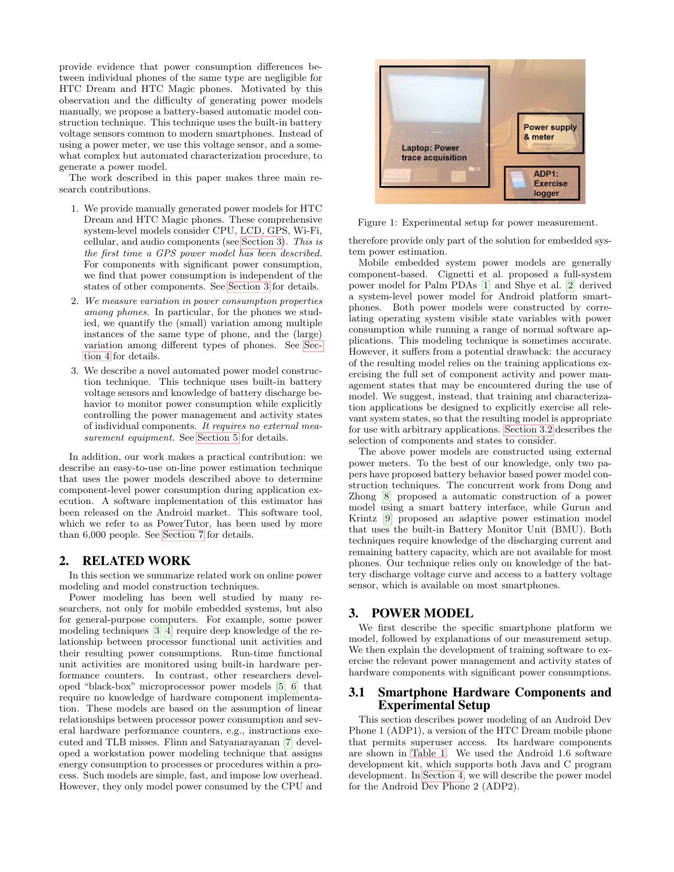provide evidence that power consumption differences between individual phones of the same type are negligible for HTC Dream and HTC Magic phones. Motivated by this observation and the difficulty of generating power models manually, we propose a battery-based automatic model construction technique. This technique uses the built-in battery voltage sensors common to modern smartphones. Instead of using a power meter, we use this voltage sensor, and a somewhat complex but automated characterization procedure, to generate a power model.

The work described in this paper makes three main research contributions.

- 1. We provide manually generated power models for HTC Dream and HTC Magic phones. These comprehensive system-level models consider CPU, LCD, GPS, Wi-Fi, cellular, and audio components (see [Section 3\)](#page-1-0). *This is the first time a GPS power model has been described.* For components with significant power consumption, we find that power consumption is independent of the states of other components. See [Section 3](#page-1-0) for details.
- 2. *We measure variation in power consumption properties among phones.* In particular, for the phones we studied, we quantify the (small) variation among multiple instances of the same type of phone, and the (large) variation among different types of phones. See [Sec](#page-4-0)[tion 4](#page-4-0) for details.
- 3. We describe a novel automated power model construction technique. This technique uses built-in battery voltage sensors and knowledge of battery discharge behavior to monitor power consumption while explicitly controlling the power management and activity states of individual components. *It requires no external measurement equipment.* See [Section 5](#page-5-0) for details.

In addition, our work makes a practical contribution: we describe an easy-to-use on-line power estimation technique that uses the power models described above to determine component-level power consumption during application execution. A software implementation of this estimator has been released on the Android market. This software tool, which we refer to as PowerTutor, has been used by more than 6,000 people. See [Section 7](#page-9-2) for details.

# 2. RELATED WORK

In this section we summarize related work on online power modeling and model construction techniques.

Power modeling has been well studied by many researchers, not only for mobile embedded systems, but also for general-purpose computers. For example, some power modeling techniques [\[3,](#page-9-3) [4\]](#page-9-4) require deep knowledge of the relationship between processor functional unit activities and their resulting power consumptions. Run-time functional unit activities are monitored using built-in hardware performance counters. In contrast, other researchers developed "black-box" microprocessor power models [\[5,](#page-9-5) [6\]](#page-9-6) that require no knowledge of hardware component implementation. These models are based on the assumption of linear relationships between processor power consumption and several hardware performance counters, e.g., instructions executed and TLB misses. Flinn and Satyanarayanan [\[7\]](#page-9-7) developed a workstation power modeling technique that assigns energy consumption to processes or procedures within a process. Such models are simple, fast, and impose low overhead. However, they only model power consumed by the CPU and



Figure 1: Experimental setup for power measurement.

<span id="page-1-1"></span>therefore provide only part of the solution for embedded system power estimation.

Mobile embedded system power models are generally component-based. Cignetti et al. proposed a full-system power model for Palm PDAs [\[1\]](#page-9-0) and Shye et al. [\[2\]](#page-9-1) derived a system-level power model for Android platform smartphones. Both power models were constructed by correlating operating system visible state variables with power consumption while running a range of normal software applications. This modeling technique is sometimes accurate. However, it suffers from a potential drawback: the accuracy of the resulting model relies on the training applications exercising the full set of component activity and power management states that may be encountered during the use of model. We suggest, instead, that training and characterization applications be designed to explicitly exercise all relevant system states, so that the resulting model is appropriate for use with arbitrary applications. [Section 3.2](#page-2-0) describes the selection of components and states to consider.

The above power models are constructed using external power meters. To the best of our knowledge, only two papers have proposed battery behavior based power model construction techniques. The concurrent work from Dong and Zhong [\[8\]](#page-9-8) proposed a automatic construction of a power model using a smart battery interface, while Gurun and Krintz [\[9\]](#page-9-9) proposed an adaptive power estimation model that uses the built-in Battery Monitor Unit (BMU). Both techniques require knowledge of the discharging current and remaining battery capacity, which are not available for most phones. Our technique relies only on knowledge of the battery discharge voltage curve and access to a battery voltage sensor, which is available on most smartphones.

### <span id="page-1-0"></span>3. POWER MODEL

We first describe the specific smartphone platform we model, followed by explanations of our measurement setup. We then explain the development of training software to exercise the relevant power management and activity states of hardware components with significant power consumptions.

### 3.1 Smartphone Hardware Components and Experimental Setup

This section describes power modeling of an Android Dev Phone 1 (ADP1), a version of the HTC Dream mobile phone that permits superuser access. Its hardware components are shown in [Table 1.](#page-2-1) We used the Android 1.6 software development kit, which supports both Java and C program development. In [Section 4,](#page-4-0) we will describe the power model for the Android Dev Phone 2 (ADP2).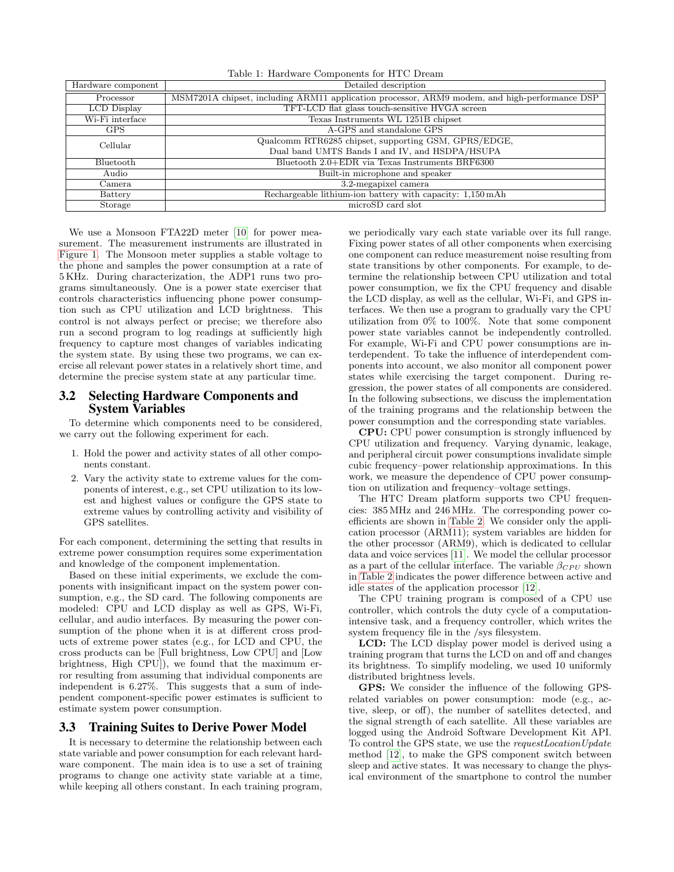| Hardware component | raoic 1. Hardware components for HIC Dream<br>Detailed description                            |  |  |  |  |
|--------------------|-----------------------------------------------------------------------------------------------|--|--|--|--|
| Processor          | MSM7201A chipset, including ARM11 application processor, ARM9 modem, and high-performance DSP |  |  |  |  |
| LCD Display        | TFT-LCD flat glass touch-sensitive HVGA screen                                                |  |  |  |  |
| Wi-Fi interface    | Texas Instruments WL 1251B chipset                                                            |  |  |  |  |
| GPS.               | A-GPS and standalone GPS                                                                      |  |  |  |  |
| Cellular           | Qualcomm RTR6285 chipset, supporting GSM, GPRS/EDGE,                                          |  |  |  |  |
|                    | Dual band UMTS Bands I and IV, and HSDPA/HSUPA                                                |  |  |  |  |
| Bluetooth          | Bluetooth 2.0+EDR via Texas Instruments BRF6300                                               |  |  |  |  |
| Audio              | Built-in microphone and speaker                                                               |  |  |  |  |
| Camera             | 3.2-megapixel camera                                                                          |  |  |  |  |
| Battery            | Rechargeable lithium-ion battery with capacity: 1,150 mAh                                     |  |  |  |  |
| Storage            | microSD card slot                                                                             |  |  |  |  |

<span id="page-2-1"></span>Table 1: Hardware Components for HTC Dream

We use a Monsoon FTA22D meter [\[10\]](#page-9-10) for power measurement. The measurement instruments are illustrated in [Figure 1.](#page-1-1) The Monsoon meter supplies a stable voltage to the phone and samples the power consumption at a rate of 5 KHz. During characterization, the ADP1 runs two programs simultaneously. One is a power state exerciser that controls characteristics influencing phone power consumption such as CPU utilization and LCD brightness. This control is not always perfect or precise; we therefore also run a second program to log readings at sufficiently high frequency to capture most changes of variables indicating the system state. By using these two programs, we can exercise all relevant power states in a relatively short time, and determine the precise system state at any particular time.

### <span id="page-2-0"></span>3.2 Selecting Hardware Components and System Variables

To determine which components need to be considered, we carry out the following experiment for each.

- 1. Hold the power and activity states of all other components constant.
- 2. Vary the activity state to extreme values for the components of interest, e.g., set CPU utilization to its lowest and highest values or configure the GPS state to extreme values by controlling activity and visibility of GPS satellites.

For each component, determining the setting that results in extreme power consumption requires some experimentation and knowledge of the component implementation.

Based on these initial experiments, we exclude the components with insignificant impact on the system power consumption, e.g., the SD card. The following components are modeled: CPU and LCD display as well as GPS, Wi-Fi, cellular, and audio interfaces. By measuring the power consumption of the phone when it is at different cross products of extreme power states (e.g., for LCD and CPU, the cross products can be [Full brightness, Low CPU] and [Low brightness, High CPU]), we found that the maximum error resulting from assuming that individual components are independent is 6.27%. This suggests that a sum of independent component-specific power estimates is sufficient to estimate system power consumption.

### 3.3 Training Suites to Derive Power Model

It is necessary to determine the relationship between each state variable and power consumption for each relevant hardware component. The main idea is to use a set of training programs to change one activity state variable at a time, while keeping all others constant. In each training program,

we periodically vary each state variable over its full range. Fixing power states of all other components when exercising one component can reduce measurement noise resulting from state transitions by other components. For example, to determine the relationship between CPU utilization and total power consumption, we fix the CPU frequency and disable the LCD display, as well as the cellular, Wi-Fi, and GPS interfaces. We then use a program to gradually vary the CPU utilization from 0% to 100%. Note that some component power state variables cannot be independently controlled. For example, Wi-Fi and CPU power consumptions are interdependent. To take the influence of interdependent components into account, we also monitor all component power states while exercising the target component. During regression, the power states of all components are considered. In the following subsections, we discuss the implementation of the training programs and the relationship between the power consumption and the corresponding state variables.

CPU: CPU power consumption is strongly influenced by CPU utilization and frequency. Varying dynamic, leakage, and peripheral circuit power consumptions invalidate simple cubic frequency–power relationship approximations. In this work, we measure the dependence of CPU power consumption on utilization and frequency–voltage settings.

The HTC Dream platform supports two CPU frequencies: 385 MHz and 246 MHz. The corresponding power coefficients are shown in [Table 2.](#page-3-0) We consider only the application processor (ARM11); system variables are hidden for the other processor (ARM9), which is dedicated to cellular data and voice services [\[11\]](#page-9-11). We model the cellular processor as a part of the cellular interface. The variable  $\beta_{CPU}$  shown in [Table 2](#page-3-0) indicates the power difference between active and idle states of the application processor [\[12\]](#page-9-12).

The CPU training program is composed of a CPU use controller, which controls the duty cycle of a computationintensive task, and a frequency controller, which writes the system frequency file in the /sys filesystem.

LCD: The LCD display power model is derived using a training program that turns the LCD on and off and changes its brightness. To simplify modeling, we used 10 uniformly distributed brightness levels.

GPS: We consider the influence of the following GPSrelated variables on power consumption: mode (e.g., active, sleep, or off), the number of satellites detected, and the signal strength of each satellite. All these variables are logged using the Android Software Development Kit API. To control the GPS state, we use the *requestLocationUpdate* method [\[12\]](#page-9-12), to make the GPS component switch between sleep and active states. It was necessary to change the physical environment of the smartphone to control the number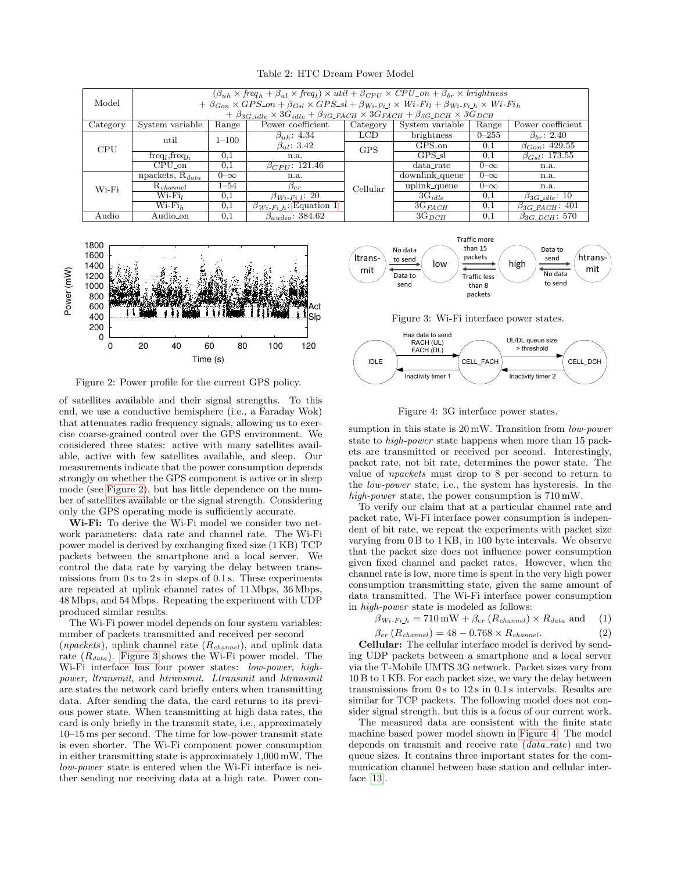| Model      | $(\beta_{uh} \times freq_h + \beta_{ul} \times freq_l) \times util + \beta_{CPU} \times CPU\_on + \beta_{br} \times brightness$<br>$+ \beta_{Gon} \times GPS\_on + \beta_{Gsl} \times GPS\_sl + \beta_{Wi-Fi\_l} \times Wi-Fi_l + \beta_{Wi-Fi\_h} \times Wi-Fi_h$<br>$+ \beta_{3G\_idle} \times 3G_{idle} + \beta_{3G\_FACT} \times 3G_{FACT} + \beta_{3G\_DCH} \times 3G_{DCH}$ |            |                                              |            |                     |            |                          |  |
|------------|-----------------------------------------------------------------------------------------------------------------------------------------------------------------------------------------------------------------------------------------------------------------------------------------------------------------------------------------------------------------------------------|------------|----------------------------------------------|------------|---------------------|------------|--------------------------|--|
| Category   | System variable                                                                                                                                                                                                                                                                                                                                                                   | Range      | Power coefficient                            | Category   | System variable     | Range      | Power coefficient        |  |
| <b>CPU</b> | util                                                                                                                                                                                                                                                                                                                                                                              | $1 - 100$  | $\beta_{uh}$ : 4.34<br>$\beta_{ul}$ : 3.42   | <b>LCD</b> | brightness          | $0 - 255$  | $\beta_{hr}$ : 2.40      |  |
|            |                                                                                                                                                                                                                                                                                                                                                                                   |            |                                              | <b>GPS</b> | $GPS_{-}on$         | 0,1        | $\beta_{Gon}$ : 429.55   |  |
|            | $freq_l, freq_h$                                                                                                                                                                                                                                                                                                                                                                  | 0.1        | n.a.                                         |            | $GPS_{sl}$          | 0,1        | $\beta_{Gsl}$ : 173.55   |  |
|            | $\overline{\text{CPU\_on}}$                                                                                                                                                                                                                                                                                                                                                       | 0.1        | $\beta_{CPU}: 121.46$                        |            | data_rate           | $0-\infty$ | n.a.                     |  |
| Wi-Fi      | npackets, $R_{data}$                                                                                                                                                                                                                                                                                                                                                              | $0-\infty$ | n.a.                                         |            | downlink_queue      | $0-\infty$ | n.a.                     |  |
|            | $R_{channel}$                                                                                                                                                                                                                                                                                                                                                                     | $1 - 54$   | $\beta_{cr}$                                 | Cellular   | uplink_queue        | $0-\infty$ | n.a.                     |  |
|            | $Wi-FiI$                                                                                                                                                                                                                                                                                                                                                                          | 0,1        | $\beta_{Wi\text{-}Fi\_\perp l}$ : 20         |            | $3G_{idle}$         | 0,1        | $\beta_{3G\_idle}: 10$   |  |
|            | $Wi-Fib$                                                                                                                                                                                                                                                                                                                                                                          | 0.1        | $\beta_{Wi\text{-}Fi\text{-}h}$ : Equation 1 |            | $3{\rm G}_{FA\,CH}$ | 0,1        | $\beta_{3G\_FACH}$ : 401 |  |
| Audio      | Audio <sub>-on</sub>                                                                                                                                                                                                                                                                                                                                                              | 0.1        | $\beta_{audio}$ : 384.62                     |            | $3G_{DCH}$          | 0.1        | $\beta_{3G}$ рсн: 570    |  |

<span id="page-3-0"></span>Table 2: HTC Dream Power Model



<span id="page-3-2"></span>Figure 2: Power profile for the current GPS policy.

of satellites available and their signal strengths. To this end, we use a conductive hemisphere (i.e., a Faraday Wok) that attenuates radio frequency signals, allowing us to exercise coarse-grained control over the GPS environment. We considered three states: active with many satellites available, active with few satellites available, and sleep. Our measurements indicate that the power consumption depends strongly on whether the GPS component is active or in sleep mode (see [Figure 2\)](#page-3-2), but has little dependence on the number of satellites available or the signal strength. Considering only the GPS operating mode is sufficiently accurate.

Wi-Fi: To derive the Wi-Fi model we consider two network parameters: data rate and channel rate. The Wi-Fi power model is derived by exchanging fixed size (1 KB) TCP packets between the smartphone and a local server. We control the data rate by varying the delay between transmissions from  $0 s$  to  $2 s$  in steps of  $0.1 s$ . These experiments are repeated at uplink channel rates of 11 Mbps, 36 Mbps, 48 Mbps, and 54 Mbps. Repeating the experiment with UDP produced similar results.

The Wi-Fi power model depends on four system variables: number of packets transmitted and received per second (*npackets*), uplink channel rate ( $R_{channel}$ ), and uplink data rate  $(R_{data})$ . [Figure 3](#page-3-3) shows the Wi-Fi power model. The Wi-Fi interface has four power states: *low-power*, *highpower*, *ltransmit*, and *htransmit*. *Ltransmit* and *htransmit* are states the network card briefly enters when transmitting data. After sending the data, the card returns to its previous power state. When transmitting at high data rates, the card is only briefly in the transmit state, i.e., approximately 10–15 ms per second. The time for low-power transmit state is even shorter. The Wi-Fi component power consumption in either transmitting state is approximately 1,000 mW. The *low-power* state is entered when the Wi-Fi interface is neither sending nor receiving data at a high rate. Power con-



<span id="page-3-3"></span>Figure 3: Wi-Fi interface power states.



<span id="page-3-4"></span>Figure 4: 3G interface power states.

sumption in this state is 20 mW. Transition from *low-power* state to *high-power* state happens when more than 15 packets are transmitted or received per second. Interestingly, packet rate, not bit rate, determines the power state. The value of *npackets* must drop to 8 per second to return to the *low-power* state, i.e., the system has hysteresis. In the *high-power* state, the power consumption is 710 mW.

To verify our claim that at a particular channel rate and packet rate, Wi-Fi interface power consumption is independent of bit rate, we repeat the experiments with packet size varying from 0 B to 1 KB, in 100 byte intervals. We observe that the packet size does not influence power consumption given fixed channel and packet rates. However, when the channel rate is low, more time is spent in the very high power consumption transmitting state, given the same amount of data transmitted. The Wi-Fi interface power consumption in *high-power* state is modeled as follows:

<span id="page-3-1"></span>
$$
\beta_{Wi\text{-}Fi\_\text{h}} = 710 \,\text{mW} + \beta_{cr} \left( R_{channel} \right) \times R_{data} \text{ and } (1)
$$

$$
\beta_{cr} (R_{channel}) = 48 - 0.768 \times R_{channel}.
$$
 (2)

Cellular: The cellular interface model is derived by sending UDP packets between a smartphone and a local server via the T-Mobile UMTS 3G network. Packet sizes vary from 10 B to 1 KB. For each packet size, we vary the delay between transmissions from 0s to 12s in 0.1s intervals. Results are similar for TCP packets. The following model does not consider signal strength, but this is a focus of our current work.

The measured data are consistent with the finite state machine based power model shown in [Figure 4.](#page-3-4) The model depends on transmit and receive rate (*data rate*) and two queue sizes. It contains three important states for the communication channel between base station and cellular interface [\[13\]](#page-9-13).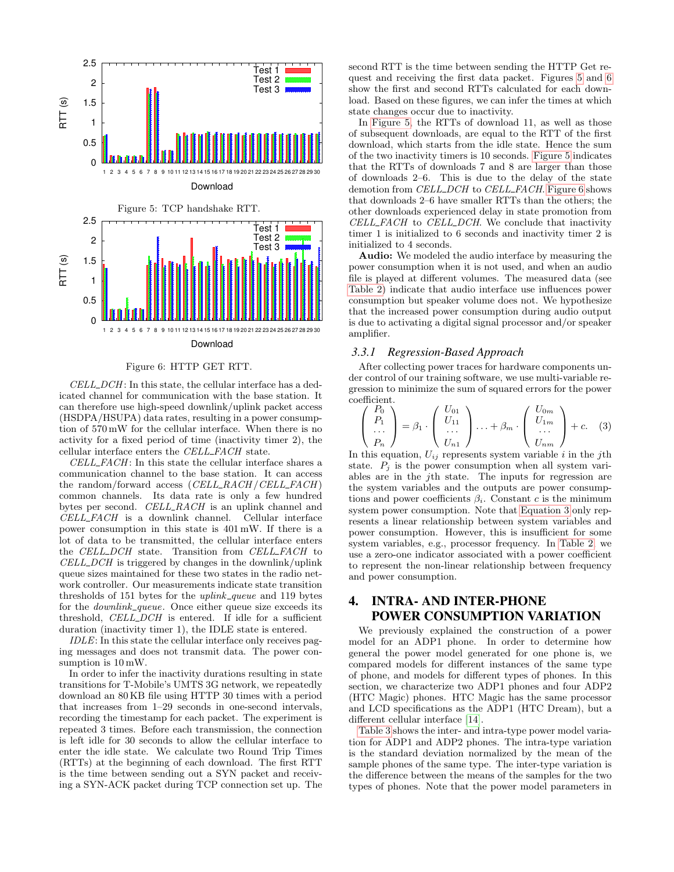

Figure 6: HTTP GET RTT.

<span id="page-4-2"></span><span id="page-4-1"></span>Download

*CELL DCH* : In this state, the cellular interface has a dedicated channel for communication with the base station. It can therefore use high-speed downlink/uplink packet access (HSDPA/HSUPA) data rates, resulting in a power consumption of 570 mW for the cellular interface. When there is no activity for a fixed period of time (inactivity timer 2), the cellular interface enters the *CELL FACH* state.

*CELL FACH* : In this state the cellular interface shares a communication channel to the base station. It can access the random/forward access (*CELL RACH* /*CELL FACH* ) common channels. Its data rate is only a few hundred bytes per second. *CELL RACH* is an uplink channel and *CELL FACH* is a downlink channel. Cellular interface power consumption in this state is 401 mW. If there is a lot of data to be transmitted, the cellular interface enters the *CELL DCH* state. Transition from *CELL FACH* to *CELL DCH* is triggered by changes in the downlink/uplink queue sizes maintained for these two states in the radio network controller. Our measurements indicate state transition thresholds of 151 bytes for the *uplink queue* and 119 bytes for the *downlink queue*. Once either queue size exceeds its threshold, *CELL DCH* is entered. If idle for a sufficient duration (inactivity timer 1), the IDLE state is entered.

*IDLE*: In this state the cellular interface only receives paging messages and does not transmit data. The power consumption is 10 mW.

In order to infer the inactivity durations resulting in state transitions for T-Mobile's UMTS 3G network, we repeatedly download an 80 KB file using HTTP 30 times with a period that increases from  $1-29$  seconds in one-second intervals, recording the timestamp for each packet. The experiment is repeated 3 times. Before each transmission, the connection is left idle for 30 seconds to allow the cellular interface to enter the idle state. We calculate two Round Trip Times (RTTs) at the beginning of each download. The first RTT is the time between sending out a SYN packet and receiving a SYN-ACK packet during TCP connection set up. The

second RTT is the time between sending the HTTP Get request and receiving the first data packet. Figures [5](#page-4-1) and [6](#page-4-2) show the first and second RTTs calculated for each download. Based on these figures, we can infer the times at which state changes occur due to inactivity.

In [Figure 5,](#page-4-1) the RTTs of download 11, as well as those of subsequent downloads, are equal to the RTT of the first download, which starts from the idle state. Hence the sum of the two inactivity timers is 10 seconds. [Figure 5](#page-4-1) indicates that the RTTs of downloads 7 and 8 are larger than those of downloads 2–6. This is due to the delay of the state demotion from *CELL DCH* to *CELL FACH*. [Figure 6](#page-4-2) shows that downloads 2–6 have smaller RTTs than the others; the other downloads experienced delay in state promotion from *CELL FACH* to *CELL DCH*. We conclude that inactivity timer 1 is initialized to 6 seconds and inactivity timer 2 is initialized to 4 seconds.

Audio: We modeled the audio interface by measuring the power consumption when it is not used, and when an audio file is played at different volumes. The measured data (see [Table 2\)](#page-3-0) indicate that audio interface use influences power consumption but speaker volume does not. We hypothesize that the increased power consumption during audio output is due to activating a digital signal processor and/or speaker amplifier.

#### *3.3.1 Regression-Based Approach*

After collecting power traces for hardware components under control of our training software, we use multi-variable regression to minimize the sum of squared errors for the power coefficient.

<span id="page-4-3"></span>
$$
\begin{pmatrix} P_0 \\ P_1 \\ \cdots \\ P_n \end{pmatrix} = \beta_1 \cdot \begin{pmatrix} U_{01} \\ U_{11} \\ \cdots \\ U_{n1} \end{pmatrix} \cdots + \beta_m \cdot \begin{pmatrix} U_{0m} \\ U_{1m} \\ \cdots \\ U_{nm} \end{pmatrix} + c. \quad (3)
$$

In this equation,  $U_{ij}$  represents system variable i in the jth state.  $P_j$  is the power consumption when all system variables are in the jth state. The inputs for regression are the system variables and the outputs are power consumptions and power coefficients  $\beta_i$ . Constant c is the minimum system power consumption. Note that [Equation 3](#page-4-3) only represents a linear relationship between system variables and power consumption. However, this is insufficient for some system variables, e.g., processor frequency. In [Table 2,](#page-3-0) we use a zero-one indicator associated with a power coefficient to represent the non-linear relationship between frequency and power consumption.

# <span id="page-4-0"></span>4. INTRA- AND INTER-PHONE POWER CONSUMPTION VARIATION

We previously explained the construction of a power model for an ADP1 phone. In order to determine how general the power model generated for one phone is, we compared models for different instances of the same type of phone, and models for different types of phones. In this section, we characterize two ADP1 phones and four ADP2 (HTC Magic) phones. HTC Magic has the same processor and LCD specifications as the ADP1 (HTC Dream), but a different cellular interface [\[14\]](#page-9-14).

[Table 3](#page-5-1) shows the inter- and intra-type power model variation for ADP1 and ADP2 phones. The intra-type variation is the standard deviation normalized by the mean of the sample phones of the same type. The inter-type variation is the difference between the means of the samples for the two types of phones. Note that the power model parameters in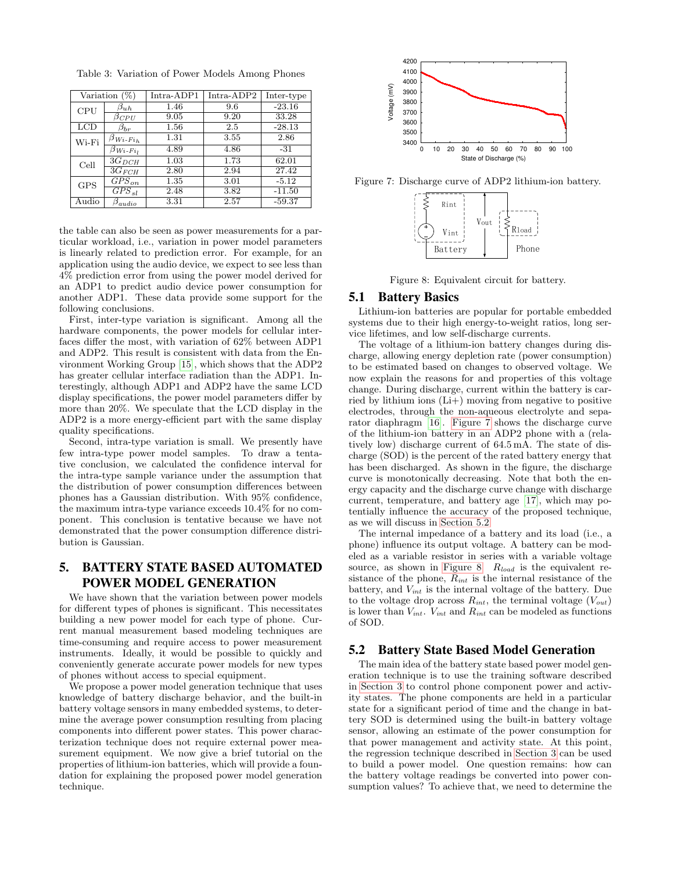| Variation $(\%)$ |                          | $Intra-ADP1$ | $Intra-ADP2$ | Inter-type |
|------------------|--------------------------|--------------|--------------|------------|
| CPU              | $\beta_{uh}$             | 1.46         | 9.6          | $-23.16$   |
|                  | $\beta_{CPU}$            | 9.05         | 9.20         | 33.28      |
| LCD              | $\beta_{br}$             | 1.56         | 2.5          | $-28.13$   |
| Wi-Fi            | $\beta_{Wi\text{-}Fi_h}$ | 1.31         | 3.55         | 2.86       |
|                  | $\beta_{Wi\text{-}Fi}$   | 4.89         | 4.86         | $-31$      |
| Cell             | $3G_{DCH}$               | 1.03         | 1.73         | 62.01      |
|                  | $3G_{FCH}$               | 2.80         | 2.94         | 27.42      |
| <b>GPS</b>       | $GPS_{on}$               | 1.35         | 3.01         | $-5.12$    |
|                  | $GPS_{sl}$               | 2.48         | 3.82         | $-11.50$   |
| Audio            | $\beta_{audio}$          | 3.31         | 2.57         | $-59.37$   |

<span id="page-5-1"></span>Table 3: Variation of Power Models Among Phones

the table can also be seen as power measurements for a particular workload, i.e., variation in power model parameters is linearly related to prediction error. For example, for an application using the audio device, we expect to see less than 4% prediction error from using the power model derived for an ADP1 to predict audio device power consumption for another ADP1. These data provide some support for the following conclusions.

First, inter-type variation is significant. Among all the hardware components, the power models for cellular interfaces differ the most, with variation of 62% between ADP1 and ADP2. This result is consistent with data from the Environment Working Group [\[15\]](#page-9-15), which shows that the ADP2 has greater cellular interface radiation than the ADP1. Interestingly, although ADP1 and ADP2 have the same LCD display specifications, the power model parameters differ by more than 20%. We speculate that the LCD display in the ADP2 is a more energy-efficient part with the same display quality specifications.

Second, intra-type variation is small. We presently have few intra-type power model samples. To draw a tentative conclusion, we calculated the confidence interval for the intra-type sample variance under the assumption that the distribution of power consumption differences between phones has a Gaussian distribution. With 95% confidence, the maximum intra-type variance exceeds 10.4% for no component. This conclusion is tentative because we have not demonstrated that the power consumption difference distribution is Gaussian.

# <span id="page-5-0"></span>5. BATTERY STATE BASED AUTOMATED POWER MODEL GENERATION

We have shown that the variation between power models for different types of phones is significant. This necessitates building a new power model for each type of phone. Current manual measurement based modeling techniques are time-consuming and require access to power measurement instruments. Ideally, it would be possible to quickly and conveniently generate accurate power models for new types of phones without access to special equipment.

We propose a power model generation technique that uses knowledge of battery discharge behavior, and the built-in battery voltage sensors in many embedded systems, to determine the average power consumption resulting from placing components into different power states. This power characterization technique does not require external power measurement equipment. We now give a brief tutorial on the properties of lithium-ion batteries, which will provide a foundation for explaining the proposed power model generation technique.



Figure 7: Discharge curve of ADP2 lithium-ion battery.

<span id="page-5-2"></span>

<span id="page-5-4"></span>Figure 8: Equivalent circuit for battery.

### <span id="page-5-5"></span>5.1 Battery Basics

Lithium-ion batteries are popular for portable embedded systems due to their high energy-to-weight ratios, long service lifetimes, and low self-discharge currents.

The voltage of a lithium-ion battery changes during discharge, allowing energy depletion rate (power consumption) to be estimated based on changes to observed voltage. We now explain the reasons for and properties of this voltage change. During discharge, current within the battery is carried by lithium ions (Li+) moving from negative to positive electrodes, through the non-aqueous electrolyte and separator diaphragm [\[16\]](#page-9-16). [Figure 7](#page-5-2) shows the discharge curve of the lithium-ion battery in an ADP2 phone with a (relatively low) discharge current of 64.5 mA. The state of discharge (SOD) is the percent of the rated battery energy that has been discharged. As shown in the figure, the discharge curve is monotonically decreasing. Note that both the energy capacity and the discharge curve change with discharge current, temperature, and battery age [\[17\]](#page-9-17), which may potentially influence the accuracy of the proposed technique, as we will discuss in [Section 5.2.](#page-5-3)

The internal impedance of a battery and its load (i.e., a phone) influence its output voltage. A battery can be modeled as a variable resistor in series with a variable voltage source, as shown in [Figure 8.](#page-5-4)  $R_{load}$  is the equivalent resistance of the phone,  $R_{int}$  is the internal resistance of the battery, and  $V_{int}$  is the internal voltage of the battery. Due to the voltage drop across  $R_{int}$ , the terminal voltage  $(V_{out})$ is lower than  $V_{int}$ .  $V_{int}$  and  $R_{int}$  can be modeled as functions of SOD.

# <span id="page-5-3"></span>5.2 Battery State Based Model Generation

The main idea of the battery state based power model generation technique is to use the training software described in [Section 3](#page-1-0) to control phone component power and activity states. The phone components are held in a particular state for a significant period of time and the change in battery SOD is determined using the built-in battery voltage sensor, allowing an estimate of the power consumption for that power management and activity state. At this point, the regression technique described in [Section 3](#page-1-0) can be used to build a power model. One question remains: how can the battery voltage readings be converted into power consumption values? To achieve that, we need to determine the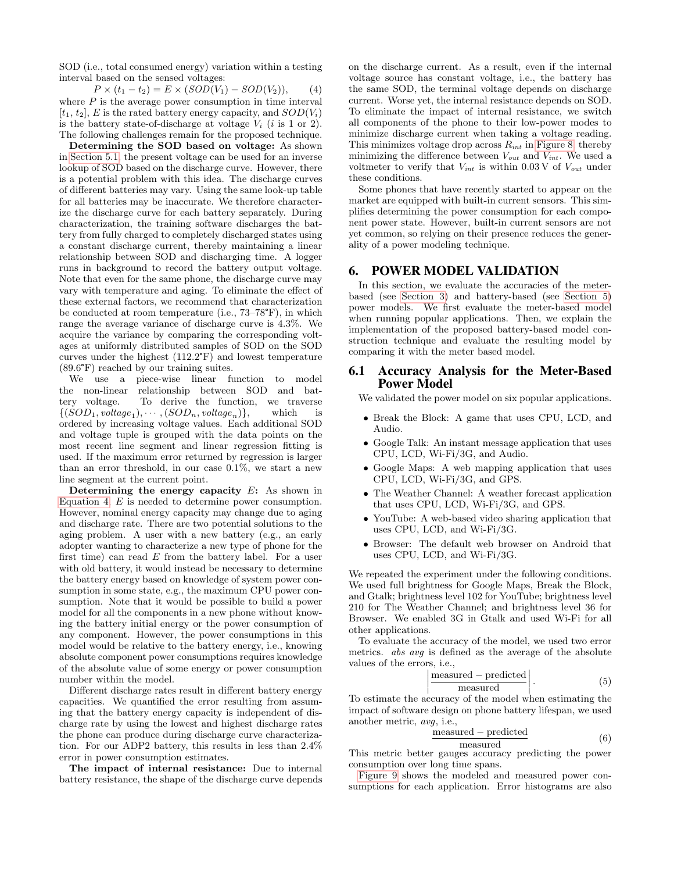SOD (i.e., total consumed energy) variation within a testing interval based on the sensed voltages:

<span id="page-6-0"></span> $P \times (t_1 - t_2) = E \times (SOD(V_1) - SOD(V_2)),$  (4) where  $P$  is the average power consumption in time interval  $[t_1, t_2]$ , E is the rated battery energy capacity, and  $SOD(V_i)$ is the battery state-of-discharge at voltage  $V_i$  (*i* is 1 or 2). The following challenges remain for the proposed technique.

Determining the SOD based on voltage: As shown in [Section 5.1,](#page-5-5) the present voltage can be used for an inverse lookup of SOD based on the discharge curve. However, there is a potential problem with this idea. The discharge curves of different batteries may vary. Using the same look-up table for all batteries may be inaccurate. We therefore characterize the discharge curve for each battery separately. During characterization, the training software discharges the battery from fully charged to completely discharged states using a constant discharge current, thereby maintaining a linear relationship between SOD and discharging time. A logger runs in background to record the battery output voltage. Note that even for the same phone, the discharge curve may vary with temperature and aging. To eliminate the effect of these external factors, we recommend that characterization be conducted at room temperature (i.e., 73–78°F), in which these external factors, we recommend that characterization range the average variance of discharge curve is 4.3%. We acquire the variance by comparing the corresponding voltages at uniformly distributed samples of SOD on the SOD acquire the variance by comparing the corresponding voltages at uniformly distributed samples of SOD on the SOD curves under the highest (112.2°F) and lowest temperature ages at uniformly distributed samples curves under the highest (112.2°F) and (89.6°F) reached by our training suites.

We use a piece-wise linear function to model the non-linear relationship between SOD and battery voltage. To derive the function, we traverse  $\{(SOD_1, voltage_1), \cdots, (SOD_n, voltage_n)\}, \text{ which is}$ ordered by increasing voltage values. Each additional SOD and voltage tuple is grouped with the data points on the most recent line segment and linear regression fitting is used. If the maximum error returned by regression is larger than an error threshold, in our case 0.1%, we start a new line segment at the current point.

Determining the energy capacity  $E$ : As shown in [Equation 4,](#page-6-0) E is needed to determine power consumption. However, nominal energy capacity may change due to aging and discharge rate. There are two potential solutions to the aging problem. A user with a new battery (e.g., an early adopter wanting to characterize a new type of phone for the first time) can read  $E$  from the battery label. For a user with old battery, it would instead be necessary to determine the battery energy based on knowledge of system power consumption in some state, e.g., the maximum CPU power consumption. Note that it would be possible to build a power model for all the components in a new phone without knowing the battery initial energy or the power consumption of any component. However, the power consumptions in this model would be relative to the battery energy, i.e., knowing absolute component power consumptions requires knowledge of the absolute value of some energy or power consumption number within the model.

Different discharge rates result in different battery energy capacities. We quantified the error resulting from assuming that the battery energy capacity is independent of discharge rate by using the lowest and highest discharge rates the phone can produce during discharge curve characterization. For our ADP2 battery, this results in less than 2.4% error in power consumption estimates.

The impact of internal resistance: Due to internal battery resistance, the shape of the discharge curve depends

on the discharge current. As a result, even if the internal voltage source has constant voltage, i.e., the battery has the same SOD, the terminal voltage depends on discharge current. Worse yet, the internal resistance depends on SOD. To eliminate the impact of internal resistance, we switch all components of the phone to their low-power modes to minimize discharge current when taking a voltage reading. This minimizes voltage drop across  $R_{int}$  in [Figure 8,](#page-5-4) thereby minimizing the difference between  $V_{out}$  and  $V_{int}$ . We used a voltmeter to verify that  $V_{int}$  is within 0.03 V of  $V_{out}$  under these conditions.

Some phones that have recently started to appear on the market are equipped with built-in current sensors. This simplifies determining the power consumption for each component power state. However, built-in current sensors are not yet common, so relying on their presence reduces the generality of a power modeling technique.

### 6. POWER MODEL VALIDATION

In this section, we evaluate the accuracies of the meterbased (see [Section 3\)](#page-1-0) and battery-based (see [Section 5\)](#page-5-0) power models. We first evaluate the meter-based model when running popular applications. Then, we explain the implementation of the proposed battery-based model construction technique and evaluate the resulting model by comparing it with the meter based model.

### 6.1 Accuracy Analysis for the Meter-Based Power Model

We validated the power model on six popular applications.

- Break the Block: A game that uses CPU, LCD, and Audio.
- Google Talk: An instant message application that uses CPU, LCD, Wi-Fi/3G, and Audio.
- Google Maps: A web mapping application that uses CPU, LCD, Wi-Fi/3G, and GPS.
- The Weather Channel: A weather forecast application that uses CPU, LCD, Wi-Fi/3G, and GPS.
- YouTube: A web-based video sharing application that uses CPU, LCD, and Wi-Fi/3G.
- Browser: The default web browser on Android that uses CPU, LCD, and Wi-Fi/3G.

We repeated the experiment under the following conditions. We used full brightness for Google Maps, Break the Block, and Gtalk; brightness level 102 for YouTube; brightness level 210 for The Weather Channel; and brightness level 36 for Browser. We enabled 3G in Gtalk and used Wi-Fi for all other applications.

To evaluate the accuracy of the model, we used two error metrics. *abs avg* is defined as the average of the absolute values of the errors, i.e.,

$$
\left| \frac{\text{measured} - \text{predicted}}{\text{measured}} \right|.
$$
 (5)

To estimate the accuracy of the model when estimating the impact of software design on phone battery lifespan, we used another metric, *avg*, i.e.,

$$
\frac{\text{measured} - \text{predicted}}{\text{measured}}\tag{6}
$$

measured (6)<br>This metric better gauges accuracy predicting the power consumption over long time spans.

[Figure 9](#page-7-0) shows the modeled and measured power consumptions for each application. Error histograms are also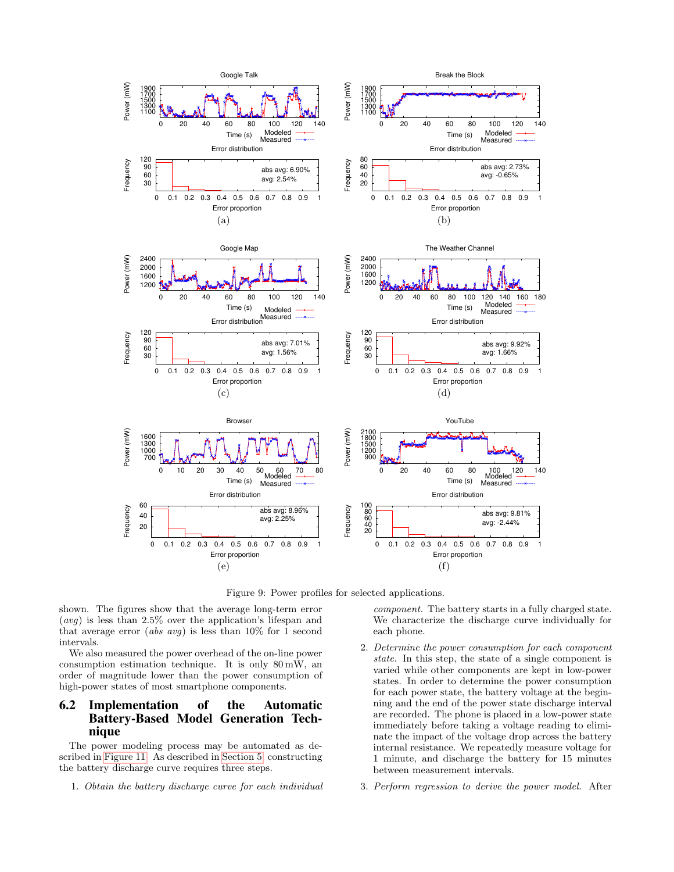

<span id="page-7-0"></span>Figure 9: Power profiles for selected applications.

shown. The figures show that the average long-term error (*avg*) is less than 2.5% over the application's lifespan and that average error (*abs avg*) is less than 10% for 1 second intervals.

We also measured the power overhead of the on-line power consumption estimation technique. It is only 80 mW, an order of magnitude lower than the power consumption of high-power states of most smartphone components.

# <span id="page-7-1"></span>6.2 Implementation of the Automatic Battery-Based Model Generation Technique

The power modeling process may be automated as described in [Figure 11.](#page-8-0) As described in [Section 5,](#page-5-0) constructing the battery discharge curve requires three steps.

1. *Obtain the battery discharge curve for each individual*

*component.* The battery starts in a fully charged state. We characterize the discharge curve individually for each phone.

- 2. *Determine the power consumption for each component state.* In this step, the state of a single component is varied while other components are kept in low-power states. In order to determine the power consumption for each power state, the battery voltage at the beginning and the end of the power state discharge interval are recorded. The phone is placed in a low-power state immediately before taking a voltage reading to eliminate the impact of the voltage drop across the battery internal resistance. We repeatedly measure voltage for 1 minute, and discharge the battery for 15 minutes between measurement intervals.
- 3. *Perform regression to derive the power model.* After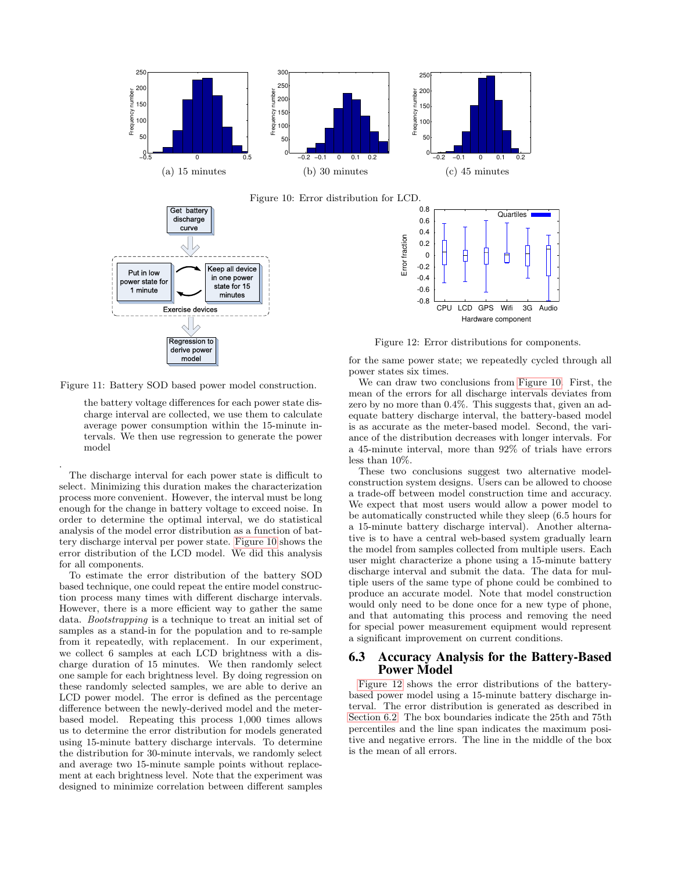

Figure 11: Battery SOD based power model construction.

<span id="page-8-0"></span>the battery voltage differences for each power state discharge interval are collected, we use them to calculate average power consumption within the 15-minute intervals. We then use regression to generate the power model

The discharge interval for each power state is difficult to select. Minimizing this duration makes the characterization process more convenient. However, the interval must be long enough for the change in battery voltage to exceed noise. In order to determine the optimal interval, we do statistical analysis of the model error distribution as a function of battery discharge interval per power state. [Figure 10](#page-8-1) shows the error distribution of the LCD model. We did this analysis for all components.

.

To estimate the error distribution of the battery SOD based technique, one could repeat the entire model construction process many times with different discharge intervals. However, there is a more efficient way to gather the same data. *Bootstrapping* is a technique to treat an initial set of samples as a stand-in for the population and to re-sample from it repeatedly, with replacement. In our experiment, we collect 6 samples at each LCD brightness with a discharge duration of 15 minutes. We then randomly select one sample for each brightness level. By doing regression on these randomly selected samples, we are able to derive an LCD power model. The error is defined as the percentage difference between the newly-derived model and the meterbased model. Repeating this process 1,000 times allows us to determine the error distribution for models generated using 15-minute battery discharge intervals. To determine the distribution for 30-minute intervals, we randomly select and average two 15-minute sample points without replacement at each brightness level. Note that the experiment was designed to minimize correlation between different samples

<span id="page-8-1"></span>

<span id="page-8-2"></span>Figure 12: Error distributions for components.

for the same power state; we repeatedly cycled through all power states six times.

We can draw two conclusions from [Figure 10.](#page-8-1) First, the mean of the errors for all discharge intervals deviates from zero by no more than 0.4%. This suggests that, given an adequate battery discharge interval, the battery-based model is as accurate as the meter-based model. Second, the variance of the distribution decreases with longer intervals. For a 45-minute interval, more than 92% of trials have errors less than 10%.

These two conclusions suggest two alternative modelconstruction system designs. Users can be allowed to choose a trade-off between model construction time and accuracy. We expect that most users would allow a power model to be automatically constructed while they sleep (6.5 hours for a 15-minute battery discharge interval). Another alternative is to have a central web-based system gradually learn the model from samples collected from multiple users. Each user might characterize a phone using a 15-minute battery discharge interval and submit the data. The data for multiple users of the same type of phone could be combined to produce an accurate model. Note that model construction would only need to be done once for a new type of phone, and that automating this process and removing the need for special power measurement equipment would represent a significant improvement on current conditions.

### 6.3 Accuracy Analysis for the Battery-Based Power Model

[Figure 12](#page-8-2) shows the error distributions of the batterybased power model using a 15-minute battery discharge interval. The error distribution is generated as described in [Section 6.2.](#page-7-1) The box boundaries indicate the 25th and 75th percentiles and the line span indicates the maximum positive and negative errors. The line in the middle of the box is the mean of all errors.